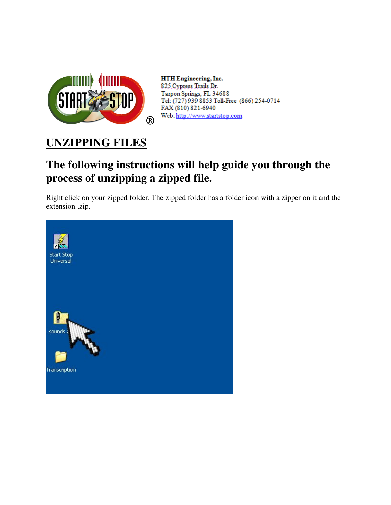

HTH Engineering, Inc. 825 Cypress Trails Dr. Tarpon Springs, FL 34688 Tel: (727) 939 8853 Toll-Free (866) 254-0714 FAX (810) 821-6940 Web: http://www.startstop.com

## **UNZIPPING FILES**

## **The following instructions will help guide you through the process of unzipping a zipped file.**

Right click on your zipped folder. The zipped folder has a folder icon with a zipper on it and the extension .zip.

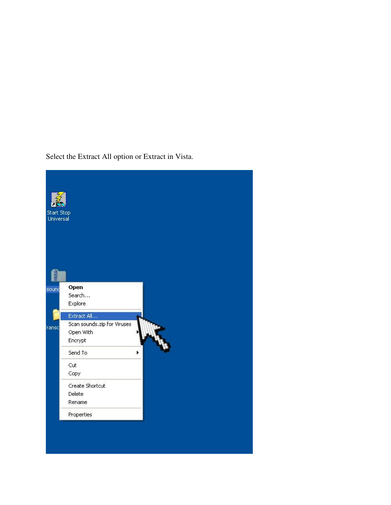Select the Extract All option or Extract in Vista.

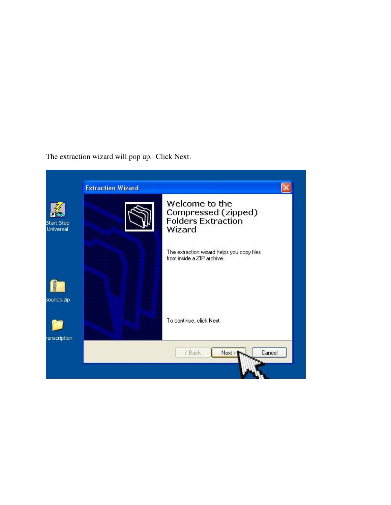The extraction wizard will pop up. Click Next.

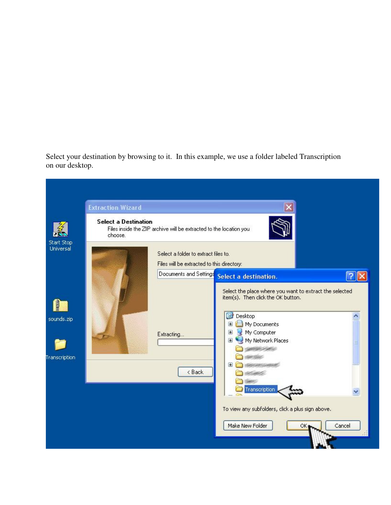Select your destination by browsing to it. In this example, we use a folder labeled Transcription on our desktop.

|                             | <b>Extraction Wizard</b>                                                                                     |                                                                                    |                                                                                                                                                                                                                                                                                                               |        |  |
|-----------------------------|--------------------------------------------------------------------------------------------------------------|------------------------------------------------------------------------------------|---------------------------------------------------------------------------------------------------------------------------------------------------------------------------------------------------------------------------------------------------------------------------------------------------------------|--------|--|
| Start Stop                  | <b>Select a Destination</b><br>Files inside the ZIP archive will be extracted to the location you<br>choose. |                                                                                    |                                                                                                                                                                                                                                                                                                               |        |  |
| Universal                   |                                                                                                              | Select a folder to extract files to.<br>Files will be extracted to this directory: |                                                                                                                                                                                                                                                                                                               |        |  |
|                             |                                                                                                              | Documents and Settings                                                             | Select a destination.                                                                                                                                                                                                                                                                                         |        |  |
| sounds.zip<br>Transcription |                                                                                                              | Extracting<br>< Back                                                               | Select the place where you want to extract the selected<br>item(s). Then click the OK button.<br>G<br>Desktop<br>My Documents<br>$\boxplus$<br>My Computer<br>$\Box$<br>My Network Places<br>E<br>See Lake<br>国<br>Transcription<br>To view any subfolders, click a plus sign above.<br>Make New Folder<br>ОК | Cancel |  |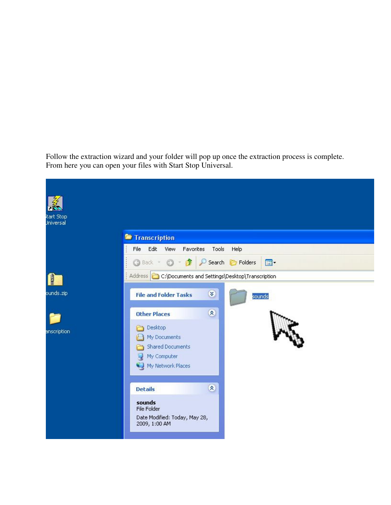Follow the extraction wizard and your folder will pop up once the extraction process is complete. From here you can open your files with Start Stop Universal.

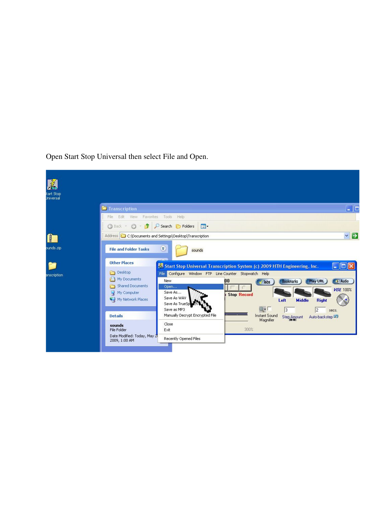Open Start Stop Universal then select File and Open.

| 系                      |                                                                                                            |              |  |  |  |
|------------------------|------------------------------------------------------------------------------------------------------------|--------------|--|--|--|
| tart Stop<br>Jniversal |                                                                                                            |              |  |  |  |
|                        | <sup>7</sup> Transcription                                                                                 | $\Box$ e     |  |  |  |
|                        | Edit<br>Favorites Tools<br>Help<br>File<br>View:                                                           |              |  |  |  |
|                        | $\blacksquare$<br>Search <b>P</b> Folders<br><b>△</b> Back →<br>E)                                         |              |  |  |  |
|                        | $\vee$ $\Box$<br>Address C:\Documents and Settings\Desktop\Transcription                                   |              |  |  |  |
| punds.zip              | ×<br><b>File and Folder Tasks</b><br>sounds                                                                |              |  |  |  |
|                        | <b>Other Places</b><br>Start Stop Universal Transcription System (c) 2009 HTH Engineering, Inc.            | c<br>語圖      |  |  |  |
| anscription            | Desktop<br>Configure Window FTP Line Counter Stopwatch Help<br>File                                        |              |  |  |  |
|                        | My Documents<br><b>New</b><br>00<br><b>Bookmarks</b><br><b>Play URL</b><br>Jobs<br><b>Shared Documents</b> | <b>Audio</b> |  |  |  |
|                        | Open<br>Save As<br>My Computer                                                                             | VOL 100%     |  |  |  |
|                        | <b>Stop Record</b><br>Save As WAV<br>My Network Places<br>Left<br><b>Middle</b><br><b>Right</b>            |              |  |  |  |
|                        | Save As TrueSp<br>$\mathbb{Q}\bullet\Gamma$<br>Save as MP3<br> 3 <br>12<br>secs.                           |              |  |  |  |
|                        | Manually Decrypt Encrypted File<br><b>Instant Sound</b><br><b>Details</b><br>Auto-backstep<br>Step Amount  |              |  |  |  |
|                        | Magnifier<br>Close<br>sounds<br>300%<br>Exit<br>File Folder                                                |              |  |  |  |
|                        | Date Modified: Today, May 2<br>Recently Opened Files<br>2009, 1:00 AM                                      |              |  |  |  |
|                        |                                                                                                            |              |  |  |  |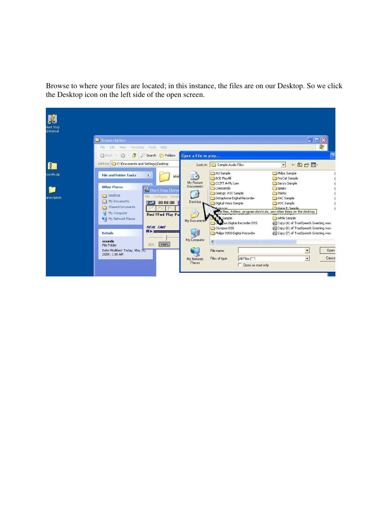Browse to where your files are located; in this instance, the files are on our Desktop. So we click the Desktop icon on the left side of the open screen.